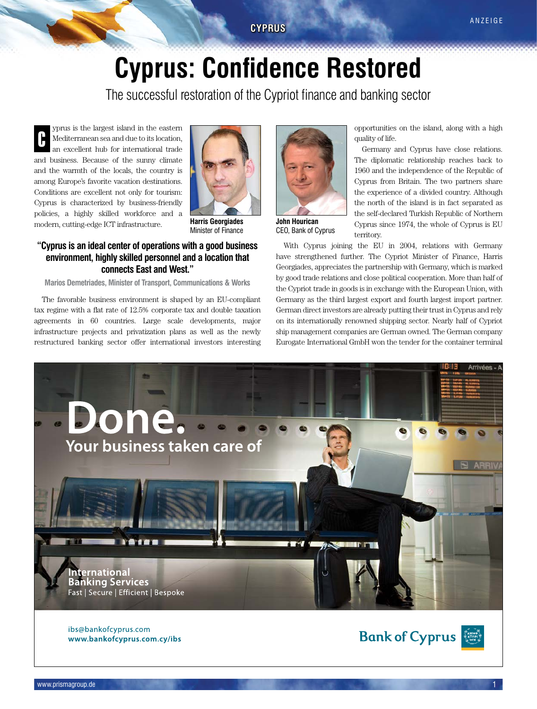# **Cyprus: Confidence Restored**

The successful restoration of the Cypriot finance and banking sector

yprus is the largest island in the eastern Mediterranean sea and due to its location, an excellent hub for international trade and business. Because of the sunny climate and the warmth of the locals, the country is among Europe's favorite vacation destinations. Conditions are excellent not only for tourism: Cyprus is characterized by business-friendly policies, a highly skilled workforce and a modern, cutting-edge ICT infrastructure. C



**Harris Georgiades** Minister of Finance

## **"Cyprus is an ideal center of operations with a good business environment, highly skilled personnel and a location that connects East and West."**

**Marios Demetriades, Minister of Transport, Communications & Works**

The favorable business environment is shaped by an EU-compliant tax regime with a flat rate of 12.5% corporate tax and double taxation agreements in 60 countries. Large scale developments, major infrastructure projects and privatization plans as well as the newly restructured banking sector offer international investors interesting



**John Hourican** CEO, Bank of Cyprus

opportunities on the island, along with a high quality of life.

Germany and Cyprus have close relations. The diplomatic relationship reaches back to 1960 and the independence of the Republic of Cyprus from Britain. The two partners share the experience of a divided country. Although the north of the island is in fact separated as the self-declared Turkish Republic of Northern Cyprus since 1974, the whole of Cyprus is EU territory.

With Cyprus joining the EU in 2004, relations with Germany have strengthened further. The Cypriot Minister of Finance, Harris Georgiades, appreciates the partnership with Germany, which is marked by good trade relations and close political cooperation. More than half of the Cypriot trade in goods is in exchange with the European Union, with Germany as the third largest export and fourth largest import partner. German direct investors are already putting their trust in Cyprus and rely on its internationally renowned shipping sector. Nearly half of Cypriot ship management companies are German owned. The German company Eurogate International GmbH won the tender for the container terminal



ibs@bankofcyprus.com www.bankofcyprus.com.cy/ibs

**Bank of Cyprus**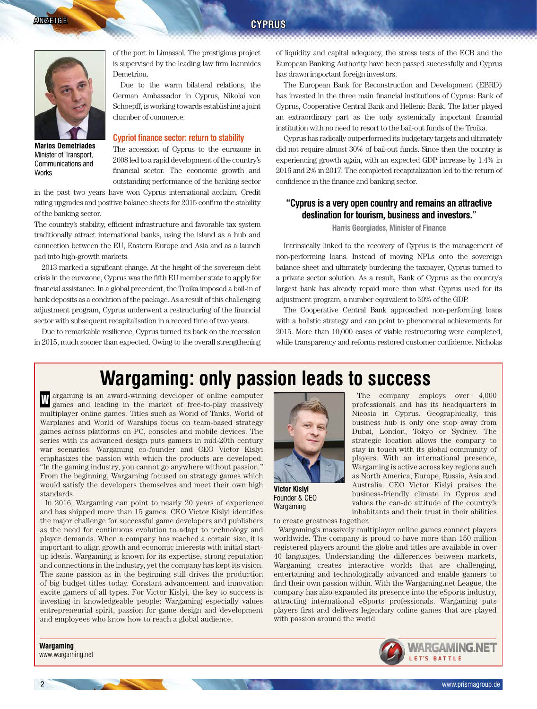

**Marios Demetriades** Minister of Transport, Communications and **Works** 

of the port in Limassol. The prestigious project is supervised by the leading law firm Ioannides Demetriou.

Due to the warm bilateral relations, the German Ambassador in Cyprus, Nikolai von Schoepff, is working towards establishing a joint chamber of commerce.

#### **Cypriot finance sector: return to stability**

The accession of Cyprus to the eurozone in 2008 led to a rapid development of the country's financial sector. The economic growth and outstanding performance of the banking sector

in the past two years have won Cyprus international acclaim. Credit rating upgrades and positive balance sheets for 2015 confirm the stability of the banking sector.

The country's stability, efficient infrastructure and favorable tax system traditionally attract international banks, using the island as a hub and connection between the EU, Eastern Europe and Asia and as a launch pad into high-growth markets.

2013 marked a significant change. At the height of the sovereign debt crisis in the eurozone, Cyprus was the fifth EU member state to apply for financial assistance. In a global precedent, the Troika imposed a bail-in of bank deposits as a condition of the package. As a result of this challenging adjustment program, Cyprus underwent a restructuring of the financial sector with subsequent recapitalisation in a record time of two years.

Due to remarkable resilience, Cyprus turned its back on the recession in 2015, much sooner than expected. Owing to the overall strengthening of liquidity and capital adequacy, the stress tests of the ECB and the European Banking Authority have been passed successfully and Cyprus has drawn important foreign investors.

The European Bank for Reconstruction and Development (EBRD) has invested in the three main financial institutions of Cyprus: Bank of Cyprus, Cooperative Central Bank and Hellenic Bank. The latter played an extraordinary part as the only systemically important financial institution with no need to resort to the bail-out funds of the Troika.

Cyprus has radically outperformed its budgetary targets and ultimately did not require almost 30% of bail-out funds. Since then the country is experiencing growth again, with an expected GDP increase by 1.4% in 2016 and 2% in 2017. The completed recapitalization led to the return of confidence in the finance and banking sector.

### **"Cyprus is a very open country and remains an attractive destination for tourism, business and investors."**

#### **Harris Georgiades, Minister of Finance**

Intrinsically linked to the recovery of Cyprus is the management of non-performing loans. Instead of moving NPLs onto the sovereign balance sheet and ultimately burdening the taxpayer, Cyprus turned to a private sector solution. As a result, Bank of Cyprus as the country's largest bank has already repaid more than what Cyprus used for its adjustment program, a number equivalent to 50% of the GDP.

The Cooperative Central Bank approached non-performing loans with a holistic strategy and can point to phenomenal achievements for 2015. More than 10,000 cases of viable restructuring were completed, while transparency and reforms restored customer confidence. Nicholas

# **Wargaming: only passion leads to success**

argaming is an award-winning developer of online computer I argaming is an award-winning developer of online computer<br>games and leading in the market of free-to-play massively multiplayer online games. Titles such as World of Tanks, World of Warplanes and World of Warships focus on team-based strategy games across platforms on PC, consoles and mobile devices. The series with its advanced design puts gamers in mid-20th century war scenarios. Wargaming co-founder and CEO Victor Kislyi emphasizes the passion with which the products are developed: "In the gaming industry, you cannot go anywhere without passion." From the beginning, Wargaming focused on strategy games which would satisfy the developers themselves and meet their own high standards.

In 2016, Wargaming can point to nearly 20 years of experience and has shipped more than 15 games. CEO Victor Kislyi identifies the major challenge for successful game developers and publishers as the need for continuous evolution to adapt to technology and player demands. When a company has reached a certain size, it is important to align growth and economic interests with initial startup ideals. Wargaming is known for its expertise, strong reputation and connections in the industry, yet the company has kept its vision. The same passion as in the beginning still drives the production of big budget titles today. Constant advancement and innovation excite gamers of all types. For Victor Kislyi, the key to success is investing in knowledgeable people: Wargaming especially values entrepreneurial spirit, passion for game design and development and employees who know how to reach a global audience.



**Victor Kislyi**  Founder & CEO

The company employs over 4,000 professionals and has its headquarters in Nicosia in Cyprus. Geographically, this business hub is only one stop away from Dubai, London, Tokyo or Sydney. The strategic location allows the company to stay in touch with its global community of players. With an international presence, Wargaming is active across key regions such as North America, Europe, Russia, Asia and Australia. CEO Victor Kislyi praises the business-friendly climate in Cyprus and values the can-do attitude of the country's inhabitants and their trust in their abilities

Wargaming

to create greatness together. Wargaming's massively multiplayer online games connect players worldwide. The company is proud to have more than 150 million registered players around the globe and titles are available in over 40 languages. Understanding the differences between markets, Wargaming creates interactive worlds that are challenging, entertaining and technologically advanced and enable gamers to find their own passion within. With the Wargaming.net League, the company has also expanded its presence into the eSports industry, attracting international eSports professionals. Wargaming puts players first and delivers legendary online games that are played with passion around the world.



**Wargaming**  www.wargaming.net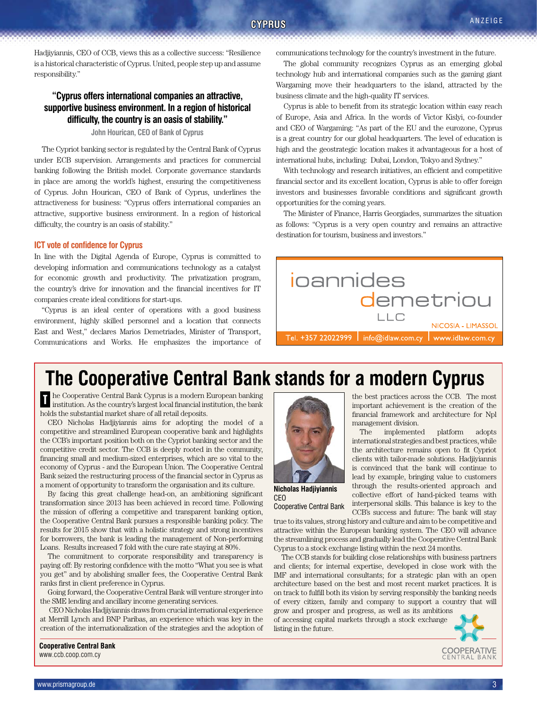Hadjiyiannis, CEO of CCB, views this as a collective success: "Resilience is a historical characteristic of Cyprus. United, people step up and assume responsibility."

## **"Cyprus offers international companies an attractive, supportive business environment. In a region of historical difficulty, the country is an oasis of stability."**

**John Hourican, CEO of Bank of Cyprus**

The Cypriot banking sector is regulated by the Central Bank of Cyprus under ECB supervision. Arrangements and practices for commercial banking following the British model. Corporate governance standards in place are among the world's highest, ensuring the competitiveness of Cyprus. John Hourican, CEO of Bank of Cyprus, underlines the attractiveness for business: "Cyprus offers international companies an attractive, supportive business environment. In a region of historical difficulty, the country is an oasis of stability."

#### **ICT vote of confidence for Cyprus**

In line with the Digital Agenda of Europe, Cyprus is committed to developing information and communications technology as a catalyst for economic growth and productivity. The privatization program, the country's drive for innovation and the financial incentives for IT companies create ideal conditions for start-ups.

"Cyprus is an ideal center of operations with a good business environment, highly skilled personnel and a location that connects East and West," declares Marios Demetriades, Minister of Transport, Communications and Works. He emphasizes the importance of communications technology for the country's investment in the future.

The global community recognizes Cyprus as an emerging global technology hub and international companies such as the gaming giant Wargaming move their headquarters to the island, attracted by the business climate and the high-quality IT services.

Cyprus is able to benefit from its strategic location within easy reach of Europe, Asia and Africa. In the words of Victor Kislyi, co-founder and CEO of Wargaming: "As part of the EU and the eurozone, Cyprus is a great country for our global headquarters. The level of education is high and the geostrategic location makes it advantageous for a host of international hubs, including: Dubai, London, Tokyo and Sydney."

With technology and research initiatives, an efficient and competitive financial sector and its excellent location, Cyprus is able to offer foreign investors and businesses favorable conditions and significant growth opportunities for the coming years.

The Minister of Finance, Harris Georgiades, summarizes the situation as follows: "Cyprus is a very open country and remains an attractive destination for tourism, business and investors."



the best practices across the CCB. The most important achievement is the creation of the financial framework and architecture for Npl

The implemented platform adopts international strategies and best practices, while the architecture remains open to fit Cypriot clients with tailor-made solutions. Hadjiyiannis is convinced that the bank will continue to lead by example, bringing value to customers through the results-oriented approach and

# **The Cooperative Central Bank stands for a modern Cyprus**

n the Cooperative Central Bank Cyprus is a modern European banking<br>Institution. As the country's largest local financial institution, the bank institution. As the country's largest local financial institution, the bank holds the substantial market share of all retail deposits.

CEO Nicholas Hadjiyiannis aims for adopting the model of a competitive and streamlined European cooperative bank and highlights the CCB's important position both on the Cypriot banking sector and the competitive credit sector. The CCB is deeply rooted in the community, financing small and medium-sized enterprises, which are so vital to the economy of Cyprus - and the European Union. The Cooperative Central Bank seized the restructuring process of the financial sector in Cyprus as a moment of opportunity to transform the organisation and its culture.

By facing this great challenge head-on, an ambitioning significant transformation since 2013 has been achieved in record time. Following the mission of offering a competitive and transparent banking option, the Cooperative Central Bank pursues a responsible banking policy. The results for 2015 show that with a holistic strategy and strong incentives for borrowers, the bank is leading the management of Non-performing Loans. Results increased 7 fold with the cure rate staying at 80%.

The commitment to corporate responsibility and transparency is paying off: By restoring confidence with the motto "What you see is what you get" and by abolishing smaller fees, the Cooperative Central Bank ranks first in client preference in Cyprus.

Going forward, the Cooperative Central Bank will venture stronger into the SME lending and ancillary income generating services.

 CEO Nicholas Hadjiyiannis draws from crucial international experience at Merrill Lynch and BNP Paribas, an experience which was key in the creation of the internationalization of the strategies and the adoption of

**Nicholas Hadjiyiannis**  CEO

collective effort of hand-picked teams with

interpersonal skills. This balance is key to the CCB's success and future: The bank will stay true to its values, strong history and culture and aim to be competitive and attractive within the European banking system. The CEO will advance the streamlining process and gradually lead the Cooperative Central Bank Cooperative Central Bank

management division.

Cyprus to a stock exchange listing within the next 24 months. The CCB stands for building close relationships with business partners and clients; for internal expertise, developed in close work with the IMF and international consultants; for a strategic plan with an open architecture based on the best and most recent market practices. It is on track to fulfill both its vision by serving responsibly the banking needs of every citizen, family and company to support a country that will grow and prosper and progress, as well as its ambitions

of accessing capital markets through a stock exchange listing in the future.



**Cooperative Central Bank**  www.ccb.coop.com.cy